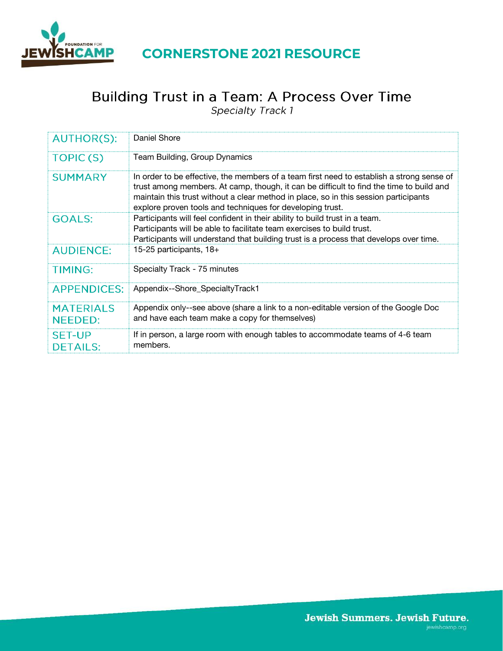

## **CORNERSTONE 2021 RESOURCE**

# Building Trust in a Team: A Process Over Time<br>
Specialty Track 1

| <b>AUTHOR(S):</b>                  | Daniel Shore                                                                                                                                                                                                                                                                                                                              |
|------------------------------------|-------------------------------------------------------------------------------------------------------------------------------------------------------------------------------------------------------------------------------------------------------------------------------------------------------------------------------------------|
| TOPIC(S)                           | Team Building, Group Dynamics                                                                                                                                                                                                                                                                                                             |
| <b>SUMMARY</b>                     | In order to be effective, the members of a team first need to establish a strong sense of<br>trust among members. At camp, though, it can be difficult to find the time to build and<br>maintain this trust without a clear method in place, so in this session participants<br>explore proven tools and techniques for developing trust. |
| <b>GOALS:</b>                      | Participants will feel confident in their ability to build trust in a team.<br>Participants will be able to facilitate team exercises to build trust.<br>Participants will understand that building trust is a process that develops over time.                                                                                           |
| <b>AUDIENCE:</b>                   | 15-25 participants, 18+                                                                                                                                                                                                                                                                                                                   |
| <b>TIMING:</b>                     | Specialty Track - 75 minutes                                                                                                                                                                                                                                                                                                              |
| <b>APPENDICES:</b>                 | Appendix--Shore_SpecialtyTrack1                                                                                                                                                                                                                                                                                                           |
| <b>MATERIALS</b><br><b>NEEDED:</b> | Appendix only--see above (share a link to a non-editable version of the Google Doc<br>and have each team make a copy for themselves)                                                                                                                                                                                                      |
| <b>SET-UP</b><br><b>DETAILS:</b>   | If in person, a large room with enough tables to accommodate teams of 4-6 team<br>members.                                                                                                                                                                                                                                                |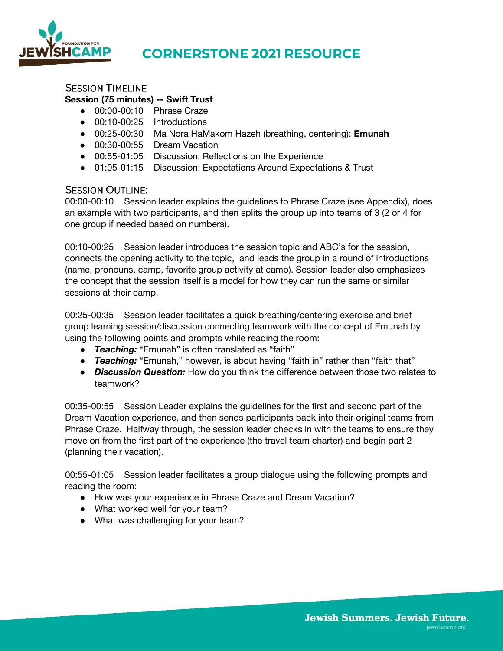

# **CORNERSTONE 2021 RESOURCE**

#### **SESSION TIMELINE**

#### **Session (75 minutes) -- Swift Trust**

- 00:00-00:10 Phrase Craze
- 00:10-00:25 Introductions
- 00:25-00:30 Ma Nora HaMakom Hazeh (breathing, centering): **Emunah**
- 00:30-00:55 Dream Vacation
- 00:55-01:05 Discussion: Reflections on the Experience
- 01:05-01:15 Discussion: Expectations Around Expectations & Trust

#### **SESSION OUTLINE:**

00:00-00:10 Session leader explains the guidelines to Phrase Craze (see Appendix), does an example with two participants, and then splits the group up into teams of 3 (2 or 4 for one group if needed based on numbers).

00:10-00:25 Session leader introduces the session topic and ABC's for the session, connects the opening activity to the topic, and leads the group in a round of introductions (name, pronouns, camp, favorite group activity at camp). Session leader also emphasizes the concept that the session itself is a model for how they can run the same or similar sessions at their camp.

00:25-00:35 Session leader facilitates a quick breathing/centering exercise and brief group learning session/discussion connecting teamwork with the concept of Emunah by using the following points and prompts while reading the room:

- *Teaching:* "Emunah" is often translated as "faith"
- *Teaching:* "Emunah," however, is about having "faith in" rather than "faith that"
- *Discussion Question:* How do you think the difference between those two relates to teamwork?

00:35-00:55 Session Leader explains the guidelines for the first and second part of the Dream Vacation experience, and then sends participants back into their original teams from Phrase Craze. Halfway through, the session leader checks in with the teams to ensure they move on from the first part of the experience (the travel team charter) and begin part 2 (planning their vacation).

00:55-01:05 Session leader facilitates a group dialogue using the following prompts and reading the room:

- How was your experience in Phrase Craze and Dream Vacation?
- What worked well for your team?
- What was challenging for your team?